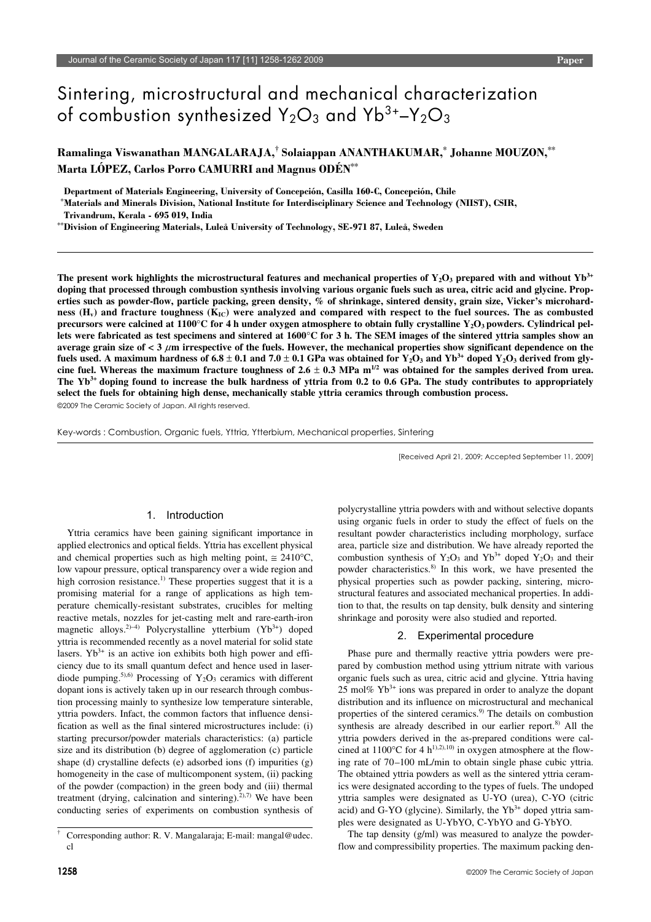# Sintering, microstructural and mechanical characterization of combustion synthesized  $Y_2O_3$  and  $Y_3O_3$

**Ramalinga Viswanathan MANGALARAJA,† Solaiappan ANANTHAKUMAR,**\*  **Johanne MOUZON,**\*\* **Marta LÓPEZ, Carlos Porro CAMURRI and Magnus ODÉN**\*\*

**Department of Materials Engineering, University of Concepción, Casilla 160-C, Concepción, Chile**

\* **Materials and Minerals Division, National Institute for Interdisciplinary Science and Technology (NIIST), CSIR,**

**Trivandrum, Kerala - 695 019, India**

\*\***Division of Engineering Materials, Luleå University of Technology, SE-971 87, Luleå, Sweden**

The present work highlights the microstructural features and mechanical properties of  $Y_2O_3$  prepared with and without  $Yb<sup>3+</sup>$ **doping that processed through combustion synthesis involving various organic fuels such as urea, citric acid and glycine. Properties such as powder-flow, particle packing, green density, % of shrinkage, sintered density, grain size, Vicker's microhard**ness  $(H_v)$  and fracture toughness  $(K_{IC})$  were analyzed and compared with respect to the fuel sources. The as combusted **precursors were calcined at 1100°C for 4 h under oxygen atmosphere to obtain fully crystalline Y<sub>2</sub>O<sub>3</sub> powders. Cylindrical pellets were fabricated as test specimens and sintered at 1600**°**C for 3 h. The SEM images of the sintered yttria samples show an average grain size of < 3** μ**m irrespective of the fuels. However, the mechanical properties show significant dependence on the**  fuels used. A maximum hardness of  $6.8 \pm 0.1$  and  $7.0 \pm 0.1$  GPa was obtained for Y<sub>2</sub>O<sub>3</sub> and Yb<sup>3+</sup> doped Y<sub>2</sub>O<sub>3</sub> derived from glycine fuel. Whereas the maximum fracture toughness of  $2.6 \pm 0.3$  MPa m<sup>1/2</sup> was obtained for the samples derived from urea. **The Yb3+ doping found to increase the bulk hardness of yttria from 0.2 to 0.6 GPa. The study contributes to appropriately select the fuels for obtaining high dense, mechanically stable yttria ceramics through combustion process.**

©2009 The Ceramic Society of Japan. All rights reserved.

Key-words : Combustion, Organic fuels, Yttria, Ytterbium, Mechanical properties, Sintering

[Received April 21, 2009; Accepted September 11, 2009]

#### 1. Introduction

Yttria ceramics have been gaining significant importance in applied electronics and optical fields. Yttria has excellent physical and chemical properties such as high melting point,  $\approx 2410^{\circ}$ C, low vapour pressure, optical transparency over a wide region and high corrosion resistance.<sup>1)</sup> These properties suggest that it is a promising material for a range of applications as high temperature chemically-resistant substrates, crucibles for melting reactive metals, nozzles for jet-casting melt and rare-earth-iron magnetic alloys.<sup>2)–4)</sup> Polycrystalline ytterbium  $(Yb^{3+})$  doped yttria is recommended recently as a novel material for solid state lasers.  $Yb^{3+}$  is an active ion exhibits both high power and efficiency due to its small quantum defect and hence used in laserdiode pumping.<sup>5),6)</sup> Processing of  $Y_2O_3$  ceramics with different dopant ions is actively taken up in our research through combustion processing mainly to synthesize low temperature sinterable, yttria powders. Infact, the common factors that influence densification as well as the final sintered microstructures include: (i) starting precursor/powder materials characteristics: (a) particle size and its distribution (b) degree of agglomeration (c) particle shape (d) crystalline defects (e) adsorbed ions (f) impurities (g) homogeneity in the case of multicomponent system, (ii) packing of the powder (compaction) in the green body and (iii) thermal treatment (drying, calcination and sintering).<sup>2),7)</sup> We have been conducting series of experiments on combustion synthesis of polycrystalline yttria powders with and without selective dopants using organic fuels in order to study the effect of fuels on the resultant powder characteristics including morphology, surface area, particle size and distribution. We have already reported the combustion synthesis of Y<sub>2</sub>O<sub>3</sub> and Yb<sup>3+</sup> doped Y<sub>2</sub>O<sub>3</sub> and their powder characteristics.8) In this work, we have presented the physical properties such as powder packing, sintering, microstructural features and associated mechanical properties. In addition to that, the results on tap density, bulk density and sintering shrinkage and porosity were also studied and reported.

## 2. Experimental procedure

Phase pure and thermally reactive yttria powders were prepared by combustion method using yttrium nitrate with various organic fuels such as urea, citric acid and glycine. Yttria having 25 mol%  $Yb^{3+}$  ions was prepared in order to analyze the dopant distribution and its influence on microstructural and mechanical properties of the sintered ceramics.<sup>9)</sup> The details on combustion synthesis are already described in our earlier report.<sup>8)</sup> All the yttria powders derived in the as-prepared conditions were calcined at  $1100^{\circ}$ C for 4 h<sup>1),2),10)</sup> in oxygen atmosphere at the flowing rate of 70–100 mL/min to obtain single phase cubic yttria. The obtained yttria powders as well as the sintered yttria ceramics were designated according to the types of fuels. The undoped yttria samples were designated as U-YO (urea), C-YO (citric acid) and G-YO (glycine). Similarly, the  $Yb<sup>3+</sup>$  doped yttria samples were designated as U-YbYO, C-YbYO and G-YbYO.

The tap density (g/ml) was measured to analyze the powderflow and compressibility properties. The maximum packing den-

<sup>†</sup> Corresponding author: R. V. Mangalaraja; E-mail: mangal@udec. cl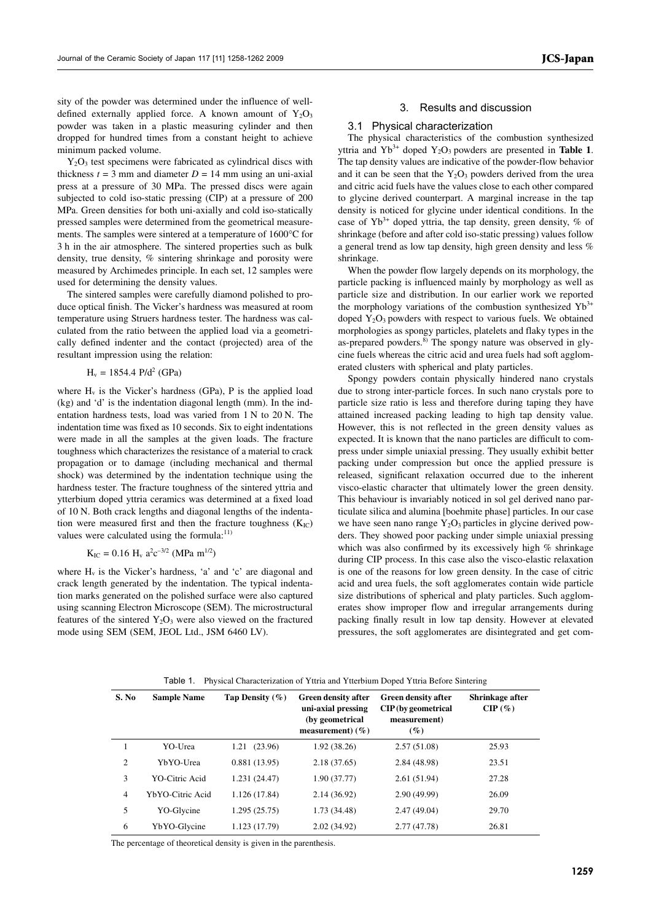**JCS-Japan**

sity of the powder was determined under the influence of welldefined externally applied force. A known amount of  $Y_2O_3$ powder was taken in a plastic measuring cylinder and then dropped for hundred times from a constant height to achieve minimum packed volume.

Y2O3 test specimens were fabricated as cylindrical discs with thickness  $t = 3$  mm and diameter  $D = 14$  mm using an uni-axial press at a pressure of 30 MPa. The pressed discs were again subjected to cold iso-static pressing (CIP) at a pressure of 200 MPa. Green densities for both uni-axially and cold iso-statically pressed samples were determined from the geometrical measurements. The samples were sintered at a temperature of 1600°C for 3 h in the air atmosphere. The sintered properties such as bulk density, true density, % sintering shrinkage and porosity were measured by Archimedes principle. In each set, 12 samples were used for determining the density values.

The sintered samples were carefully diamond polished to produce optical finish. The Vicker's hardness was measured at room temperature using Struers hardness tester. The hardness was calculated from the ratio between the applied load via a geometrically defined indenter and the contact (projected) area of the resultant impression using the relation:

 $H_v = 1854.4 \text{ P/d}^2 \text{ (GPa)}$ 

where  $H_v$  is the Vicker's hardness (GPa), P is the applied load (kg) and 'd' is the indentation diagonal length (mm). In the indentation hardness tests, load was varied from 1 N to 20 N. The indentation time was fixed as 10 seconds. Six to eight indentations were made in all the samples at the given loads. The fracture toughness which characterizes the resistance of a material to crack propagation or to damage (including mechanical and thermal shock) was determined by the indentation technique using the hardness tester. The fracture toughness of the sintered yttria and ytterbium doped yttria ceramics was determined at a fixed load of 10 N. Both crack lengths and diagonal lengths of the indentation were measured first and then the fracture toughness  $(K_{IC})$ values were calculated using the formula: $^{11)}$ 

$$
K_{\rm IC} = 0.16 \, \text{H}_v \, a^2 c^{-3/2} \, (\text{MPa} \, \text{m}^{1/2})
$$

where  $H_v$  is the Vicker's hardness, 'a' and 'c' are diagonal and crack length generated by the indentation. The typical indentation marks generated on the polished surface were also captured using scanning Electron Microscope (SEM). The microstructural features of the sintered  $Y_2O_3$  were also viewed on the fractured mode using SEM (SEM, JEOL Ltd., JSM 6460 LV).

## 3. Results and discussion

## 3.1 Physical characterization

The physical characteristics of the combustion synthesized yttria and  $Yb^{3+}$  doped  $Y_2O_3$  powders are presented in **Table 1**. The tap density values are indicative of the powder-flow behavior and it can be seen that the  $Y_2O_3$  powders derived from the urea and citric acid fuels have the values close to each other compared to glycine derived counterpart. A marginal increase in the tap density is noticed for glycine under identical conditions. In the case of  $Yb^{3+}$  doped yttria, the tap density, green density, % of shrinkage (before and after cold iso-static pressing) values follow a general trend as low tap density, high green density and less % shrinkage.

When the powder flow largely depends on its morphology, the particle packing is influenced mainly by morphology as well as particle size and distribution. In our earlier work we reported the morphology variations of the combustion synthesized  $Yb^{3+}$ doped  $Y_2O_3$  powders with respect to various fuels. We obtained morphologies as spongy particles, platelets and flaky types in the as-prepared powders.8) The spongy nature was observed in glycine fuels whereas the citric acid and urea fuels had soft agglomerated clusters with spherical and platy particles.

Spongy powders contain physically hindered nano crystals due to strong inter-particle forces. In such nano crystals pore to particle size ratio is less and therefore during taping they have attained increased packing leading to high tap density value. However, this is not reflected in the green density values as expected. It is known that the nano particles are difficult to compress under simple uniaxial pressing. They usually exhibit better packing under compression but once the applied pressure is released, significant relaxation occurred due to the inherent visco-elastic character that ultimately lower the green density. This behaviour is invariably noticed in sol gel derived nano particulate silica and alumina [boehmite phase] particles. In our case we have seen nano range  $Y_2O_3$  particles in glycine derived powders. They showed poor packing under simple uniaxial pressing which was also confirmed by its excessively high % shrinkage during CIP process. In this case also the visco-elastic relaxation is one of the reasons for low green density. In the case of citric acid and urea fuels, the soft agglomerates contain wide particle size distributions of spherical and platy particles. Such agglomerates show improper flow and irregular arrangements during packing finally result in low tap density. However at elevated pressures, the soft agglomerates are disintegrated and get com-

| S. No          | <b>Sample Name</b> | Tap Density $(\% )$ | <b>Green density after</b><br>uni-axial pressing<br>(by geometrical<br>measurement) $(\% )$ | <b>Green density after</b><br>CIP (by geometrical<br>measurement)<br>$(\%)$ | Shrinkage after<br>$CIP(\%)$ |
|----------------|--------------------|---------------------|---------------------------------------------------------------------------------------------|-----------------------------------------------------------------------------|------------------------------|
|                | YO-Urea            | (23.96)<br>1.21     | 1.92 (38.26)                                                                                | 2.57(51.08)                                                                 | 25.93                        |
| 2              | YbYO-Urea          | 0.881(13.95)        | 2.18 (37.65)                                                                                | 2.84 (48.98)                                                                | 23.51                        |
| 3              | YO-Citric Acid     | 1.231 (24.47)       | 1.90 (37.77)                                                                                | 2.61(51.94)                                                                 | 27.28                        |
| $\overline{4}$ | YbYO-Citric Acid   | 1.126 (17.84)       | 2.14 (36.92)                                                                                | 2.90(49.99)                                                                 | 26.09                        |
| 5              | YO-Glycine         | 1.295(25.75)        | 1.73 (34.48)                                                                                | 2.47(49.04)                                                                 | 29.70                        |
| 6              | YbYO-Glycine       | 1.123 (17.79)       | 2.02(34.92)                                                                                 | 2.77 (47.78)                                                                | 26.81                        |

Table 1. Physical Characterization of Yttria and Ytterbium Doped Yttria Before Sintering

The percentage of theoretical density is given in the parenthesis.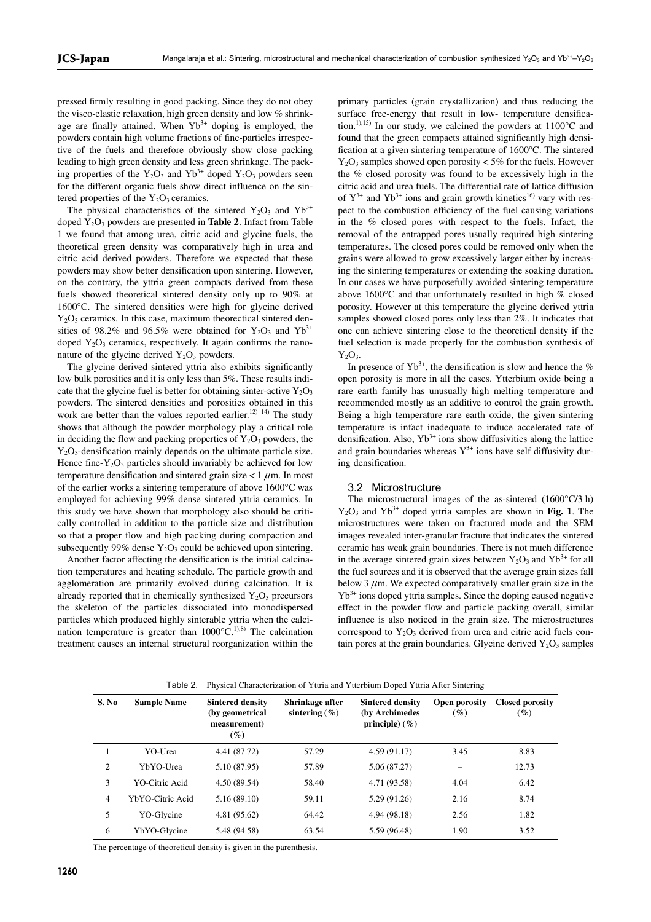pressed firmly resulting in good packing. Since they do not obey the visco-elastic relaxation, high green density and low % shrinkage are finally attained. When  $Yb^{3+}$  doping is employed, the powders contain high volume fractions of fine-particles irrespective of the fuels and therefore obviously show close packing leading to high green density and less green shrinkage. The packing properties of the  $Y_2O_3$  and  $Yb^{3+}$  doped  $Y_2O_3$  powders seen for the different organic fuels show direct influence on the sintered properties of the  $Y_2O_3$  ceramics.

The physical characteristics of the sintered  $Y_2O_3$  and  $Yb^{3+}$ doped Y2O3 powders are presented in **Table 2**. Infact from Table 1 we found that among urea, citric acid and glycine fuels, the theoretical green density was comparatively high in urea and citric acid derived powders. Therefore we expected that these powders may show better densification upon sintering. However, on the contrary, the yttria green compacts derived from these fuels showed theoretical sintered density only up to 90% at 1600°C. The sintered densities were high for glycine derived  $Y_2O_3$  ceramics. In this case, maximum theorectical sintered densities of 98.2% and 96.5% were obtained for  $Y_2O_3$  and  $Yb^{3+}$ doped  $Y_2O_3$  ceramics, respectively. It again confirms the nanonature of the glycine derived  $Y_2O_3$  powders.

The glycine derived sintered yttria also exhibits significantly low bulk porosities and it is only less than 5%. These results indicate that the glycine fuel is better for obtaining sinter-active  $Y_2O_3$ powders. The sintered densities and porosities obtained in this work are better than the values reported earlier.<sup>12 $)$ –14)</sub> The study</sup> shows that although the powder morphology play a critical role in deciding the flow and packing properties of  $Y_2O_3$  powders, the Y2O3-densification mainly depends on the ultimate particle size. Hence fine- $Y_2O_3$  particles should invariably be achieved for low temperature densification and sintered grain size  $< 1 \mu$ m. In most of the earlier works a sintering temperature of above 1600°C was employed for achieving 99% dense sintered yttria ceramics. In this study we have shown that morphology also should be critically controlled in addition to the particle size and distribution so that a proper flow and high packing during compaction and subsequently 99% dense  $Y_2O_3$  could be achieved upon sintering.

Another factor affecting the densification is the initial calcination temperatures and heating schedule. The particle growth and agglomeration are primarily evolved during calcination. It is already reported that in chemically synthesized  $Y_2O_3$  precursors the skeleton of the particles dissociated into monodispersed particles which produced highly sinterable yttria when the calcination temperature is greater than  $1000^{\circ}$ C.<sup>1),8)</sup> The calcination treatment causes an internal structural reorganization within the primary particles (grain crystallization) and thus reducing the surface free-energy that result in low- temperature densification.<sup>1),15)</sup> In our study, we calcined the powders at  $1100^{\circ}$ C and found that the green compacts attained significantly high densification at a given sintering temperature of 1600°C. The sintered  $Y_2O_3$  samples showed open porosity  $< 5\%$  for the fuels. However the % closed porosity was found to be excessively high in the citric acid and urea fuels. The differential rate of lattice diffusion of  $Y^{3+}$  and  $Yb^{3+}$  ions and grain growth kinetics<sup>16)</sup> vary with respect to the combustion efficiency of the fuel causing variations in the % closed pores with respect to the fuels. Infact, the removal of the entrapped pores usually required high sintering temperatures. The closed pores could be removed only when the grains were allowed to grow excessively larger either by increasing the sintering temperatures or extending the soaking duration. In our cases we have purposefully avoided sintering temperature above 1600°C and that unfortunately resulted in high % closed porosity. However at this temperature the glycine derived yttria samples showed closed pores only less than 2%. It indicates that one can achieve sintering close to the theoretical density if the fuel selection is made properly for the combustion synthesis of  $Y_2O_3$ .

In presence of  $Yb^{3+}$ , the densification is slow and hence the % open porosity is more in all the cases. Ytterbium oxide being a rare earth family has unusually high melting temperature and recommended mostly as an additive to control the grain growth. Being a high temperature rare earth oxide, the given sintering temperature is infact inadequate to induce accelerated rate of densification. Also,  $Yb^{3+}$  ions show diffusivities along the lattice and grain boundaries whereas  $Y^{3+}$  ions have self diffusivity during densification.

#### 3.2 Microstructure

The microstructural images of the as-sintered (1600°C/3 h)  $Y_2O_3$  and  $Yb^{3+}$  doped yttria samples are shown in **Fig. 1**. The microstructures were taken on fractured mode and the SEM images revealed inter-granular fracture that indicates the sintered ceramic has weak grain boundaries. There is not much difference in the average sintered grain sizes between  $Y_2O_3$  and  $Yb^{3+}$  for all the fuel sources and it is observed that the average grain sizes fall below 3  $\mu$ m. We expected comparatively smaller grain size in the  $Yb<sup>3+</sup>$  ions doped yttria samples. Since the doping caused negative effect in the powder flow and particle packing overall, similar influence is also noticed in the grain size. The microstructures correspond to  $Y_2O_3$  derived from urea and citric acid fuels contain pores at the grain boundaries. Glycine derived  $Y_2O_3$  samples

| S. No          | <b>Sample Name</b> | <b>Sintered density</b><br>(by geometrical<br>measurement)<br>$(\%)$ | Shrinkage after<br>sintering $(\% )$ | <b>Sintered density</b><br>(by Archimedes<br>principle) $(\% )$ | Open porosity<br>$(\%)$ | <b>Closed porosity</b><br>$(\%)$ |
|----------------|--------------------|----------------------------------------------------------------------|--------------------------------------|-----------------------------------------------------------------|-------------------------|----------------------------------|
|                | YO-Urea            | 4.41 (87.72)                                                         | 57.29                                | 4.59(91.17)                                                     | 3.45                    | 8.83                             |
| 2              | YbYO-Urea          | 5.10 (87.95)                                                         | 57.89                                | 5.06 (87.27)                                                    |                         | 12.73                            |
| 3              | YO-Citric Acid     | 4.50 (89.54)                                                         | 58.40                                | 4.71 (93.58)                                                    | 4.04                    | 6.42                             |
| $\overline{4}$ | YbYO-Citric Acid   | 5.16(89.10)                                                          | 59.11                                | 5.29 (91.26)                                                    | 2.16                    | 8.74                             |
| 5              | YO-Glycine         | 4.81 (95.62)                                                         | 64.42                                | 4.94 (98.18)                                                    | 2.56                    | 1.82                             |
| 6              | YbYO-Glycine       | 5.48 (94.58)                                                         | 63.54                                | 5.59 (96.48)                                                    | 1.90                    | 3.52                             |
|                |                    |                                                                      |                                      |                                                                 |                         |                                  |

Table 2. Physical Characterization of Yttria and Ytterbium Doped Yttria After Sintering

The percentage of theoretical density is given in the parenthesis.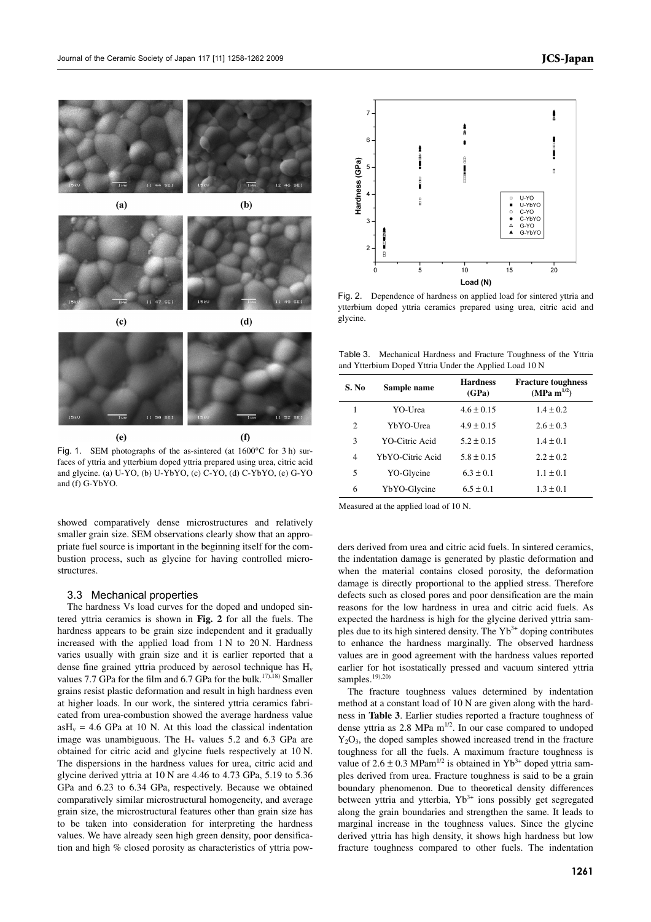

Fig. 1. SEM photographs of the as-sintered (at 1600°C for 3 h) surfaces of yttria and ytterbium doped yttria prepared using urea, citric acid and glycine. (a) U-YO, (b) U-YbYO, (c) C-YO, (d) C-YbYO, (e) G-YO and (f) G-YbYO.

showed comparatively dense microstructures and relatively smaller grain size. SEM observations clearly show that an appropriate fuel source is important in the beginning itself for the combustion process, such as glycine for having controlled microstructures.

#### 3.3 Mechanical properties

The hardness Vs load curves for the doped and undoped sintered yttria ceramics is shown in **Fig. 2** for all the fuels. The hardness appears to be grain size independent and it gradually increased with the applied load from 1 N to 20 N. Hardness varies usually with grain size and it is earlier reported that a dense fine grained yttria produced by aerosol technique has H<sub>v</sub> values 7.7 GPa for the film and  $6.7$  GPa for the bulk.<sup>17),18)</sup> Smaller grains resist plastic deformation and result in high hardness even at higher loads. In our work, the sintered yttria ceramics fabricated from urea-combustion showed the average hardness value  $a_0H_v = 4.6$  GPa at 10 N. At this load the classical indentation image was unambiguous. The  $H_v$  values 5.2 and 6.3 GPa are obtained for citric acid and glycine fuels respectively at 10 N. The dispersions in the hardness values for urea, citric acid and glycine derived yttria at 10 N are 4.46 to 4.73 GPa, 5.19 to 5.36 GPa and 6.23 to 6.34 GPa, respectively. Because we obtained comparatively similar microstructural homogeneity, and average grain size, the microstructural features other than grain size has to be taken into consideration for interpreting the hardness values. We have already seen high green density, poor densification and high % closed porosity as characteristics of yttria pow-



Fig. 2. Dependence of hardness on applied load for sintered yttria and ytterbium doped yttria ceramics prepared using urea, citric acid and glycine.

Table 3. Mechanical Hardness and Fracture Toughness of the Yttria and Ytterbium Doped Yttria Under the Applied Load 10 N

| S. No | Sample name      | <b>Hardness</b><br>(GPa) | <b>Fracture toughness</b><br>(MPa m <sup>1/2</sup> ) |
|-------|------------------|--------------------------|------------------------------------------------------|
| 1     | YO-Urea          | $4.6 \pm 0.15$           | $1.4 \pm 0.2$                                        |
| 2     | YbYO-Urea        | $4.9 \pm 0.15$           | $2.6 \pm 0.3$                                        |
| 3     | YO-Citric Acid   | $5.2 \pm 0.15$           | $1.4 \pm 0.1$                                        |
| 4     | YbYO-Citric Acid | $5.8 \pm 0.15$           | $2.2 \pm 0.2$                                        |
| 5     | YO-Glycine       | $6.3 \pm 0.1$            | $1.1 \pm 0.1$                                        |
| 6     | YbYO-Glycine     | $6.5 \pm 0.1$            | $1.3 \pm 0.1$                                        |

Measured at the applied load of 10 N.

ders derived from urea and citric acid fuels. In sintered ceramics, the indentation damage is generated by plastic deformation and when the material contains closed porosity, the deformation damage is directly proportional to the applied stress. Therefore defects such as closed pores and poor densification are the main reasons for the low hardness in urea and citric acid fuels. As expected the hardness is high for the glycine derived yttria samples due to its high sintered density. The  $Yb<sup>3+</sup>$  doping contributes to enhance the hardness marginally. The observed hardness values are in good agreement with the hardness values reported earlier for hot isostatically pressed and vacuum sintered yttria samples.<sup>19),20)</sup>

The fracture toughness values determined by indentation method at a constant load of 10 N are given along with the hardness in **Table 3**. Earlier studies reported a fracture toughness of dense yttria as  $2.8$  MPa m<sup>1/2</sup>. In our case compared to undoped Y2O3, the doped samples showed increased trend in the fracture toughness for all the fuels. A maximum fracture toughness is value of  $2.6 \pm 0.3$  MPam<sup>1/2</sup> is obtained in Yb<sup>3+</sup> doped yttria samples derived from urea. Fracture toughness is said to be a grain boundary phenomenon. Due to theoretical density differences between yttria and ytterbia,  $Yb^{3+}$  ions possibly get segregated along the grain boundaries and strengthen the same. It leads to marginal increase in the toughness values. Since the glycine derived yttria has high density, it shows high hardness but low fracture toughness compared to other fuels. The indentation